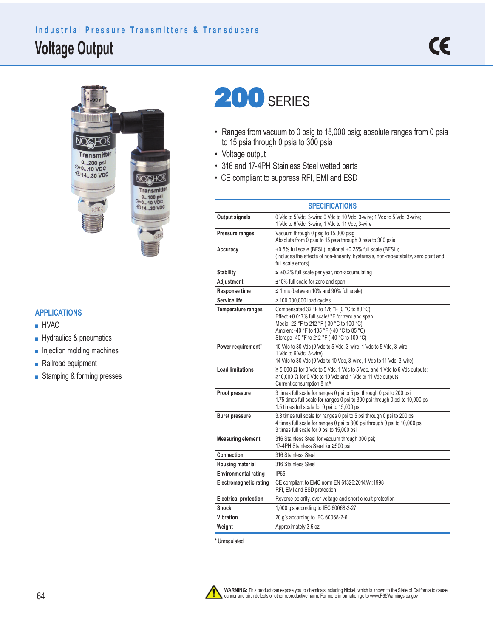## **Voltage Output Industrial Pressure Transmitters & Transducers**



## 200 SERIES

- Ranges from vacuum to 0 psig to 15,000 psig; absolute ranges from 0 psia to 15 psia through 0 psia to 300 psia
- Voltage output
- 316 and 17-4PH Stainless Steel wetted parts
- CE compliant to suppress RFI, EMI and ESD

|                               | <b>SPECIFICATIONS</b>                                                                                                                                                                                                                    |  |  |  |  |
|-------------------------------|------------------------------------------------------------------------------------------------------------------------------------------------------------------------------------------------------------------------------------------|--|--|--|--|
| <b>Output signals</b>         | 0 Vdc to 5 Vdc, 3-wire; 0 Vdc to 10 Vdc, 3-wire; 1 Vdc to 5 Vdc, 3-wire;<br>1 Vdc to 6 Vdc, 3-wire; 1 Vdc to 11 Vdc, 3-wire                                                                                                              |  |  |  |  |
| Pressure ranges               | Vacuum through 0 psig to 15,000 psig<br>Absolute from 0 psia to 15 psia through 0 psia to 300 psia                                                                                                                                       |  |  |  |  |
| Accuracy                      | ±0.5% full scale (BFSL); optional ±0.25% full scale (BFSL);<br>(Includes the effects of non-linearity, hysteresis, non-repeatability, zero point and<br>full scale errors)                                                               |  |  |  |  |
| <b>Stability</b>              | $\leq \pm 0.2$ % full scale per year, non-accumulating                                                                                                                                                                                   |  |  |  |  |
| Adjustment                    | ±10% full scale for zero and span                                                                                                                                                                                                        |  |  |  |  |
| Response time                 | $\leq$ 1 ms (between 10% and 90% full scale)                                                                                                                                                                                             |  |  |  |  |
| Service life                  | > 100,000,000 load cycles                                                                                                                                                                                                                |  |  |  |  |
| Temperature ranges            | Compensated 32 °F to 176 °F (0 °C to 80 °C)<br>Effect ±0.017% full scale/ °F for zero and span<br>Media -22 °F to 212 °F (-30 °C to 100 °C)<br>Ambient -40 °F to 185 °F (-40 °C to 85 °C)<br>Storage -40 °F to 212 °F (-40 °C to 100 °C) |  |  |  |  |
| Power requirement*            | 10 Vdc to 30 Vdc (0 Vdc to 5 Vdc, 3-wire, 1 Vdc to 5 Vdc, 3-wire,<br>1 Vdc to 6 Vdc, 3-wire)<br>14 Vdc to 30 Vdc (0 Vdc to 10 Vdc, 3-wire, 1 Vdc to 11 Vdc, 3-wire)                                                                      |  |  |  |  |
| <b>Load limitations</b>       | $\ge$ 5,000 $\Omega$ for 0 Vdc to 5 Vdc, 1 Vdc to 5 Vdc, and 1 Vdc to 6 Vdc outputs;<br>$\geq$ 10,000 Ω for 0 Vdc to 10 Vdc and 1 Vdc to 11 Vdc outputs.<br>Current consumption 8 mA                                                     |  |  |  |  |
| Proof pressure                | 3 times full scale for ranges 0 psi to 5 psi through 0 psi to 200 psi<br>1.75 times full scale for ranges 0 psi to 300 psi through 0 psi to 10,000 psi<br>1.5 times full scale for 0 psi to 15,000 psi                                   |  |  |  |  |
| <b>Burst pressure</b>         | 3.8 times full scale for ranges 0 psi to 5 psi through 0 psi to 200 psi<br>4 times full scale for ranges 0 psi to 300 psi through 0 psi to 10,000 psi<br>3 times full scale for 0 psi to 15,000 psi                                      |  |  |  |  |
| <b>Measuring element</b>      | 316 Stainless Steel for vacuum through 300 psi;<br>17-4PH Stainless Steel for ≥500 psi                                                                                                                                                   |  |  |  |  |
| Connection                    | 316 Stainless Steel                                                                                                                                                                                                                      |  |  |  |  |
| <b>Housing material</b>       | 316 Stainless Steel                                                                                                                                                                                                                      |  |  |  |  |
| <b>Environmental rating</b>   | <b>IP65</b>                                                                                                                                                                                                                              |  |  |  |  |
| <b>Electromagnetic rating</b> | CE compliant to EMC norm EN 61326:2014/A1:1998<br>RFI, EMI and ESD protection                                                                                                                                                            |  |  |  |  |
| <b>Electrical protection</b>  | Reverse polarity, over-voltage and short circuit protection                                                                                                                                                                              |  |  |  |  |
| Shock                         | 1,000 g's according to IEC 60068-2-27                                                                                                                                                                                                    |  |  |  |  |
| Vibration                     | 20 g's according to IEC 60068-2-6                                                                                                                                                                                                        |  |  |  |  |
| Weight                        | Approximately 3.5 oz.                                                                                                                                                                                                                    |  |  |  |  |

\* Unregulated

**WARNING:** This product can expose you to chemicals including Nickel, which is known to the State of California to cause<br>cancer and birth defects or other reproductive harm. For more information go to www.P65Warnings.ca.go

## **APPLICATIONS**

- HVAC
- Hydraulics & pneumatics
- Injection molding machines
- Railroad equipment
- Stamping & forming presses